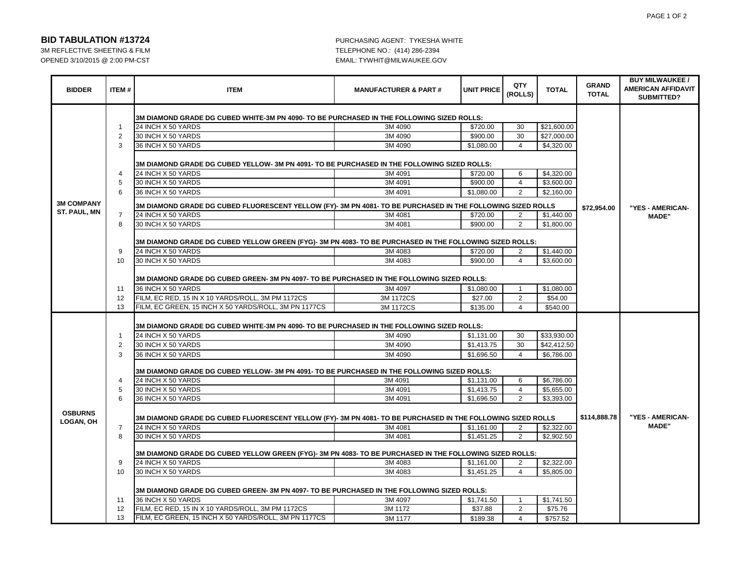#### PAGE 1 OF 2

### **BID TABULATION #13724** PURCHASING AGENT: TYKESHA WHITE

OPENED 3/10/2015 @ 2:00 PM-CST EMAIL: TYWHIT@MILWAUKEE.GOV

## 3M REFLECTIVE SHEETING & FILM TELEPHONE NO.: (414) 286-2394

| <b>BIDDER</b>                      | <b>ITEM#</b>   | <b>ITEM</b>                                                                                                 | <b>MANUFACTURER &amp; PART#</b> | <b>UNIT PRICE</b> | QTY<br>(ROLLS)   | <b>TOTAL</b> | <b>GRAND</b><br><b>TOTAL</b> | <b>BUY MILWAUKEE /</b><br><b>AMERICAN AFFIDAVIT</b><br>SUBMITTED? |
|------------------------------------|----------------|-------------------------------------------------------------------------------------------------------------|---------------------------------|-------------------|------------------|--------------|------------------------------|-------------------------------------------------------------------|
|                                    |                | 3M DIAMOND GRADE DG CUBED WHITE-3M PN 4090- TO BE PURCHASED IN THE FOLLOWING SIZED ROLLS:                   |                                 |                   |                  |              |                              |                                                                   |
| <b>3M COMPANY</b>                  | $\mathbf{1}$   | 24 INCH X 50 YARDS                                                                                          | 3M 4090                         | \$720.00          | 30               | \$21,600.00  |                              |                                                                   |
|                                    | $\overline{2}$ | 30 INCH X 50 YARDS                                                                                          | 3M 4090                         | \$900.00          | 30               | \$27,000.00  |                              |                                                                   |
|                                    | 3              | 36 INCH X 50 YARDS                                                                                          | 3M 4090                         | \$1,080.00        | $\overline{4}$   | \$4,320.00   |                              |                                                                   |
|                                    |                | 3M DIAMOND GRADE DG CUBED YELLOW- 3M PN 4091- TO BE PURCHASED IN THE FOLLOWING SIZED ROLLS:                 |                                 |                   |                  |              |                              |                                                                   |
|                                    | 4              | 24 INCH X 50 YARDS                                                                                          | 3M 4091                         | \$720.00          | 6                | \$4,320.00   |                              |                                                                   |
|                                    | 5              | 30 INCH X 50 YARDS                                                                                          | 3M 4091                         | \$900.00          | $\overline{4}$   | \$3,600.00   |                              |                                                                   |
|                                    | 6              | 36 INCH X 50 YARDS                                                                                          | 3M 4091                         | \$1,080.00        | 2                | \$2,160.00   |                              |                                                                   |
|                                    |                | 3M DIAMOND GRADE DG CUBED FLUORESCENT YELLOW (FY)- 3M PN 4081- TO BE PURCHASED IN THE FOLLOWING SIZED ROLLS | \$72,954.00                     | "YES - AMERICAN-  |                  |              |                              |                                                                   |
| ST. PAUL, MN                       | $\overline{7}$ | 24 INCH X 50 YARDS                                                                                          | 3M 4081                         | \$720.00          | 2                | \$1,440.00   |                              | <b>MADE"</b>                                                      |
|                                    | 8              | 30 INCH X 50 YARDS                                                                                          | 3M 4081                         | \$900.00          | 2                | \$1,800.00   |                              |                                                                   |
|                                    |                | 3M DIAMOND GRADE DG CUBED YELLOW GREEN (FYG)- 3M PN 4083- TO BE PURCHASED IN THE FOLLOWING SIZED ROLLS:     |                                 |                   |                  |              |                              |                                                                   |
|                                    | 9              | 24 INCH X 50 YARDS                                                                                          | 3M 4083                         | \$720.00          | 2                | \$1,440.00   |                              |                                                                   |
|                                    | 10             | 30 INCH X 50 YARDS                                                                                          | 3M 4083                         | \$900.00          | $\overline{4}$   | \$3,600.00   |                              |                                                                   |
|                                    |                | 3M DIAMOND GRADE DG CUBED GREEN- 3M PN 4097- TO BE PURCHASED IN THE FOLLOWING SIZED ROLLS:                  |                                 |                   |                  |              |                              |                                                                   |
|                                    | 11<br>12       | 36 INCH X 50 YARDS                                                                                          | 3M 4097                         | \$1,080.00        | $\mathbf{1}$     | \$1,080.00   |                              |                                                                   |
|                                    |                | FILM, EC RED, 15 IN X 10 YARDS/ROLL, 3M PM 1172CS                                                           | 3M 1172CS                       | \$27.00           | 2                | \$54.00      |                              |                                                                   |
|                                    | 13             | FILM, EC GREEN, 15 INCH X 50 YARDS/ROLL, 3M PN 1177CS                                                       | 3M 1172CS                       | \$135.00          | $\overline{4}$   | \$540.00     |                              |                                                                   |
|                                    |                | 3M DIAMOND GRADE DG CUBED WHITE-3M PN 4090- TO BE PURCHASED IN THE FOLLOWING SIZED ROLLS:                   |                                 |                   |                  |              |                              |                                                                   |
| <b>OSBURNS</b><br><b>LOGAN, OH</b> | $\mathbf{1}$   | 24 INCH X 50 YARDS                                                                                          | 3M 4090                         | \$1,131.00        | 30               | \$33,930.00  |                              |                                                                   |
|                                    | 2              | 30 INCH X 50 YARDS                                                                                          | 3M 4090                         | \$1,413.75        | 30               | \$42,412.50  |                              |                                                                   |
|                                    | 3              | 36 INCH X 50 YARDS                                                                                          | 3M 4090                         | \$1.696.50        | $\overline{4}$   | \$6,786.00   |                              |                                                                   |
|                                    |                | 3M DIAMOND GRADE DG CUBED YELLOW- 3M PN 4091- TO BE PURCHASED IN THE FOLLOWING SIZED ROLLS:                 |                                 |                   |                  |              |                              |                                                                   |
|                                    | 4              | 24 INCH X 50 YARDS                                                                                          | 3M 4091                         | \$1,131.00        | 6                | \$6,786.00   |                              |                                                                   |
|                                    | 5              | 30 INCH X 50 YARDS                                                                                          | 3M 4091                         | \$1,413.75        | $\overline{4}$   | \$5,655.00   |                              |                                                                   |
|                                    | 6              | 36 INCH X 50 YARDS                                                                                          | 3M 4091                         | \$1,696.50        | 2                | \$3,393.00   |                              |                                                                   |
|                                    |                | 3M DIAMOND GRADE DG CUBED FLUORESCENT YELLOW (FY)- 3M PN 4081- TO BE PURCHASED IN THE FOLLOWING SIZED ROLLS |                                 | \$114,888.78      | "YES - AMERICAN- |              |                              |                                                                   |
|                                    | $\overline{7}$ | 24 INCH X 50 YARDS                                                                                          | 3M 4081                         | \$1,161.00        | 2                | \$2.322.00   |                              | <b>MADE</b> "                                                     |
|                                    | 8              | 30 INCH X 50 YARDS                                                                                          | 3M 4081                         | \$1,451.25        | $\overline{2}$   | \$2,902.50   |                              |                                                                   |
|                                    |                | 3M DIAMOND GRADE DG CUBED YELLOW GREEN (FYG)- 3M PN 4083- TO BE PURCHASED IN THE FOLLOWING SIZED ROLLS:     |                                 |                   |                  |              |                              |                                                                   |
|                                    | 9              | 24 INCH X 50 YARDS                                                                                          | 3M 4083                         | \$1,161.00        | 2                | \$2,322.00   |                              |                                                                   |
|                                    | 10             | 30 INCH X 50 YARDS                                                                                          | 3M 4083                         | \$1,451.25        | $\overline{4}$   | \$5,805.00   |                              |                                                                   |
|                                    |                | 3M DIAMOND GRADE DG CUBED GREEN-3M PN 4097- TO BE PURCHASED IN THE FOLLOWING SIZED ROLLS:                   |                                 |                   |                  |              |                              |                                                                   |
|                                    | 11             | 36 INCH X 50 YARDS                                                                                          | 3M 4097                         | \$1,741.50        | -1               | \$1,741.50   |                              |                                                                   |
|                                    | 12             | FILM, EC RED, 15 IN X 10 YARDS/ROLL, 3M PM 1172CS                                                           | 3M 1172                         | \$37.88           | $\overline{2}$   | \$75.76      |                              |                                                                   |
|                                    | 13             | FILM, EC GREEN, 15 INCH X 50 YARDS/ROLL, 3M PN 1177CS                                                       | 3M 1177                         | \$189.38          | $\overline{4}$   | \$757.52     |                              |                                                                   |